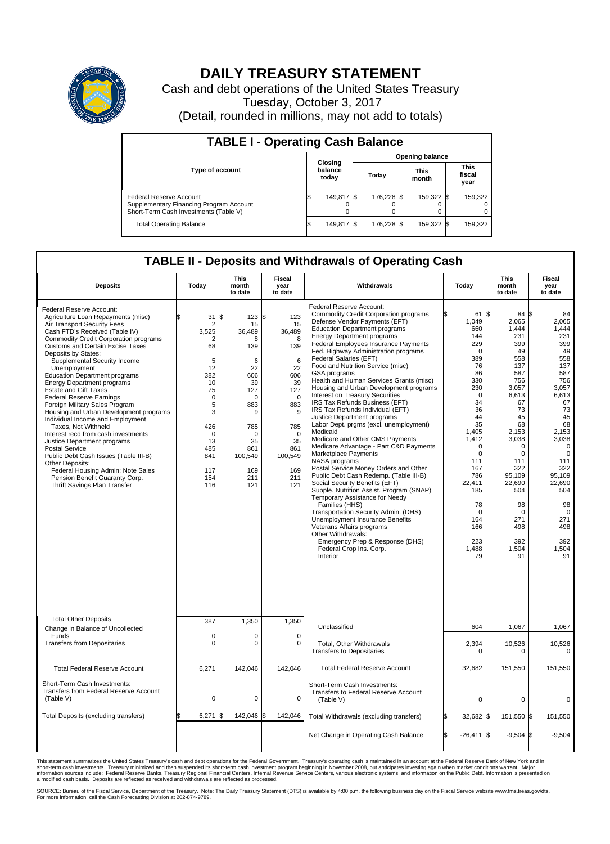

## **DAILY TREASURY STATEMENT**

Cash and debt operations of the United States Treasury Tuesday, October 3, 2017 (Detail, rounded in millions, may not add to totals)

| <b>TABLE I - Operating Cash Balance</b>                                                                     |     |                             |           |                        |                      |            |                               |         |  |  |  |
|-------------------------------------------------------------------------------------------------------------|-----|-----------------------------|-----------|------------------------|----------------------|------------|-------------------------------|---------|--|--|--|
|                                                                                                             |     |                             |           | <b>Opening balance</b> |                      |            |                               |         |  |  |  |
| <b>Type of account</b>                                                                                      |     | Closing<br>balance<br>today | Today     |                        | <b>This</b><br>month |            | <b>This</b><br>fiscal<br>year |         |  |  |  |
| Federal Reserve Account<br>Supplementary Financing Program Account<br>Short-Term Cash Investments (Table V) |     | 149,817                     | <b>IS</b> | 176.228 \$             |                      | 159,322 \$ |                               | 159,322 |  |  |  |
| <b>Total Operating Balance</b>                                                                              | I\$ | 149,817 \$                  |           | 176,228 \$             |                      | 159,322 \$ |                               | 159,322 |  |  |  |

## **TABLE II - Deposits and Withdrawals of Operating Cash**

| <b>Deposits</b>                                                                                                                                                                                                                                                                                                                                                                                                                                                                                                                                                                                                                                                                                                                                                                                                                                     | Todav                                                                                                                                                 | <b>This</b><br>month<br>to date                                                                                                                                  | Fiscal<br>year<br>to date                                                                                                                                 | Withdrawals                                                                                                                                                                                                                                                                                                                                                                                                                                                                                                                                                                                                                                                                                                                                                                                                                                                                                                                                                                                                                                                                                                                                                                                               | Today                                                                                                                                                                                                                                                             | <b>This</b><br>month<br>to date                                                                                                                                                                                                                       | <b>Fiscal</b><br>year<br>to date                                                                                                                                                                                                                                    |
|-----------------------------------------------------------------------------------------------------------------------------------------------------------------------------------------------------------------------------------------------------------------------------------------------------------------------------------------------------------------------------------------------------------------------------------------------------------------------------------------------------------------------------------------------------------------------------------------------------------------------------------------------------------------------------------------------------------------------------------------------------------------------------------------------------------------------------------------------------|-------------------------------------------------------------------------------------------------------------------------------------------------------|------------------------------------------------------------------------------------------------------------------------------------------------------------------|-----------------------------------------------------------------------------------------------------------------------------------------------------------|-----------------------------------------------------------------------------------------------------------------------------------------------------------------------------------------------------------------------------------------------------------------------------------------------------------------------------------------------------------------------------------------------------------------------------------------------------------------------------------------------------------------------------------------------------------------------------------------------------------------------------------------------------------------------------------------------------------------------------------------------------------------------------------------------------------------------------------------------------------------------------------------------------------------------------------------------------------------------------------------------------------------------------------------------------------------------------------------------------------------------------------------------------------------------------------------------------------|-------------------------------------------------------------------------------------------------------------------------------------------------------------------------------------------------------------------------------------------------------------------|-------------------------------------------------------------------------------------------------------------------------------------------------------------------------------------------------------------------------------------------------------|---------------------------------------------------------------------------------------------------------------------------------------------------------------------------------------------------------------------------------------------------------------------|
| Federal Reserve Account:<br>Agriculture Loan Repayments (misc)<br>Air Transport Security Fees<br>Cash FTD's Received (Table IV)<br><b>Commodity Credit Corporation programs</b><br><b>Customs and Certain Excise Taxes</b><br>Deposits by States:<br>Supplemental Security Income<br>Unemployment<br><b>Education Department programs</b><br><b>Energy Department programs</b><br>Estate and Gift Taxes<br><b>Federal Reserve Earnings</b><br>Foreign Military Sales Program<br>Housing and Urban Development programs<br>Individual Income and Employment<br>Taxes. Not Withheld<br>Interest recd from cash investments<br>Justice Department programs<br><b>Postal Service</b><br>Public Debt Cash Issues (Table III-B)<br>Other Deposits:<br>Federal Housing Admin: Note Sales<br>Pension Benefit Guaranty Corp.<br>Thrift Savings Plan Transfer | 31<br>\$.<br>2<br>3,525<br>2<br>68<br>5<br>12<br>382<br>10<br>75<br>$\mathbf 0$<br>5<br>3<br>426<br>$\Omega$<br>13<br>485<br>841<br>117<br>154<br>116 | \$<br>123S<br>15<br>36,489<br>8<br>139<br>6<br>22<br>606<br>39<br>127<br>$\mathbf 0$<br>883<br>9<br>785<br>$\Omega$<br>35<br>861<br>100,549<br>169<br>211<br>121 | 123<br>15<br>36,489<br>8<br>139<br>6<br>22<br>606<br>39<br>127<br>$\mathbf 0$<br>883<br>9<br>785<br>$\Omega$<br>35<br>861<br>100,549<br>169<br>211<br>121 | Federal Reserve Account:<br><b>Commodity Credit Corporation programs</b><br>Defense Vendor Payments (EFT)<br><b>Education Department programs</b><br><b>Energy Department programs</b><br><b>Federal Employees Insurance Payments</b><br>Fed. Highway Administration programs<br>Federal Salaries (EFT)<br>Food and Nutrition Service (misc)<br>GSA programs<br>Health and Human Services Grants (misc)<br>Housing and Urban Development programs<br>Interest on Treasury Securities<br>IRS Tax Refunds Business (EFT)<br>IRS Tax Refunds Individual (EFT)<br>Justice Department programs<br>Labor Dept. prgms (excl. unemployment)<br>Medicaid<br>Medicare and Other CMS Payments<br>Medicare Advantage - Part C&D Payments<br>Marketplace Payments<br>NASA programs<br>Postal Service Money Orders and Other<br>Public Debt Cash Redemp. (Table III-B)<br>Social Security Benefits (EFT)<br>Supple. Nutrition Assist. Program (SNAP)<br>Temporary Assistance for Needy<br>Families (HHS)<br>Transportation Security Admin. (DHS)<br><b>Unemployment Insurance Benefits</b><br>Veterans Affairs programs<br>Other Withdrawals:<br>Emergency Prep & Response (DHS)<br>Federal Crop Ins. Corp.<br>Interior | 61 \$<br>1,049<br>660<br>144<br>229<br>$\mathbf 0$<br>389<br>76<br>86<br>330<br>230<br>$\Omega$<br>34<br>36<br>44<br>35<br>1.405<br>1,412<br>$\Omega$<br>$\pmb{0}$<br>111<br>167<br>786<br>22,411<br>185<br>78<br>$\mathbf 0$<br>164<br>166<br>223<br>1,488<br>79 | 84 S<br>2,065<br>1,444<br>231<br>399<br>49<br>558<br>137<br>587<br>756<br>3,057<br>6.613<br>67<br>73<br>45<br>68<br>2,153<br>3,038<br>$\Omega$<br>0<br>111<br>322<br>95,109<br>22,690<br>504<br>98<br>$\mathbf 0$<br>271<br>498<br>392<br>1,504<br>91 | 84<br>2,065<br>1,444<br>231<br>399<br>49<br>558<br>137<br>587<br>756<br>3,057<br>6,613<br>67<br>73<br>45<br>68<br>2,153<br>3,038<br>$\mathbf 0$<br>$\mathbf 0$<br>111<br>322<br>95,109<br>22,690<br>504<br>98<br>$\overline{0}$<br>271<br>498<br>392<br>1,504<br>91 |
| <b>Total Other Deposits</b><br>Change in Balance of Uncollected                                                                                                                                                                                                                                                                                                                                                                                                                                                                                                                                                                                                                                                                                                                                                                                     | 387                                                                                                                                                   | 1,350                                                                                                                                                            | 1,350                                                                                                                                                     | Unclassified                                                                                                                                                                                                                                                                                                                                                                                                                                                                                                                                                                                                                                                                                                                                                                                                                                                                                                                                                                                                                                                                                                                                                                                              | 604                                                                                                                                                                                                                                                               | 1,067                                                                                                                                                                                                                                                 | 1,067                                                                                                                                                                                                                                                               |
| Funds<br><b>Transfers from Depositaries</b>                                                                                                                                                                                                                                                                                                                                                                                                                                                                                                                                                                                                                                                                                                                                                                                                         | $\mathbf 0$<br>$\mathbf 0$                                                                                                                            | 0<br>0                                                                                                                                                           | 0<br>$\mathbf 0$                                                                                                                                          | Total, Other Withdrawals<br><b>Transfers to Depositaries</b>                                                                                                                                                                                                                                                                                                                                                                                                                                                                                                                                                                                                                                                                                                                                                                                                                                                                                                                                                                                                                                                                                                                                              | 2,394<br>0                                                                                                                                                                                                                                                        | 10,526<br>$\Omega$                                                                                                                                                                                                                                    | 10,526<br>0                                                                                                                                                                                                                                                         |
| <b>Total Federal Reserve Account</b>                                                                                                                                                                                                                                                                                                                                                                                                                                                                                                                                                                                                                                                                                                                                                                                                                | 6,271                                                                                                                                                 | 142,046                                                                                                                                                          | 142,046                                                                                                                                                   | <b>Total Federal Reserve Account</b>                                                                                                                                                                                                                                                                                                                                                                                                                                                                                                                                                                                                                                                                                                                                                                                                                                                                                                                                                                                                                                                                                                                                                                      | 32.682                                                                                                                                                                                                                                                            | 151,550                                                                                                                                                                                                                                               | 151.550                                                                                                                                                                                                                                                             |
| Short-Term Cash Investments:<br>Transfers from Federal Reserve Account<br>(Table V)                                                                                                                                                                                                                                                                                                                                                                                                                                                                                                                                                                                                                                                                                                                                                                 | 0                                                                                                                                                     | $\pmb{0}$                                                                                                                                                        | 0                                                                                                                                                         | Short-Term Cash Investments:<br>Transfers to Federal Reserve Account<br>(Table V)                                                                                                                                                                                                                                                                                                                                                                                                                                                                                                                                                                                                                                                                                                                                                                                                                                                                                                                                                                                                                                                                                                                         | $\mathbf 0$                                                                                                                                                                                                                                                       | $\mathbf 0$                                                                                                                                                                                                                                           | 0                                                                                                                                                                                                                                                                   |
| Total Deposits (excluding transfers)                                                                                                                                                                                                                                                                                                                                                                                                                                                                                                                                                                                                                                                                                                                                                                                                                | 6,271<br>\$.                                                                                                                                          | \$<br>142,046 \$                                                                                                                                                 | 142,046                                                                                                                                                   | Total Withdrawals (excluding transfers)                                                                                                                                                                                                                                                                                                                                                                                                                                                                                                                                                                                                                                                                                                                                                                                                                                                                                                                                                                                                                                                                                                                                                                   | 32,682 \$                                                                                                                                                                                                                                                         | 151,550 \$                                                                                                                                                                                                                                            | 151,550                                                                                                                                                                                                                                                             |
|                                                                                                                                                                                                                                                                                                                                                                                                                                                                                                                                                                                                                                                                                                                                                                                                                                                     |                                                                                                                                                       |                                                                                                                                                                  |                                                                                                                                                           | Net Change in Operating Cash Balance                                                                                                                                                                                                                                                                                                                                                                                                                                                                                                                                                                                                                                                                                                                                                                                                                                                                                                                                                                                                                                                                                                                                                                      | l\$<br>$-26,411$ \$                                                                                                                                                                                                                                               | $-9,504$ \$                                                                                                                                                                                                                                           | $-9,504$                                                                                                                                                                                                                                                            |

This statement summarizes the United States Treasury's cash and debt operations for the Federal Government. Treasury's operating cash is maintained in an account at the Federal Reserve Bank of New York and in<br>short-term ca

SOURCE: Bureau of the Fiscal Service, Department of the Treasury. Note: The Daily Treasury Statement (DTS) is available by 4:00 p.m. the following business day on the Fiscal Service website www.fms.treas.gov/dts.<br>For more